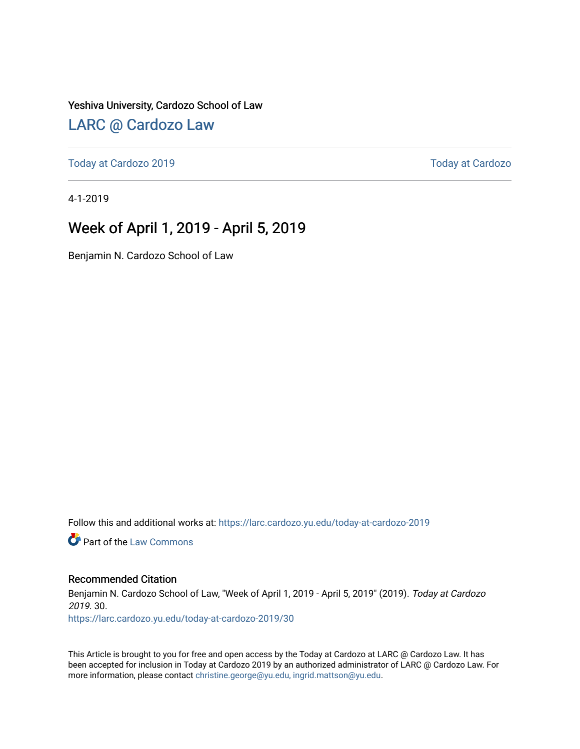#### Yeshiva University, Cardozo School of Law

### [LARC @ Cardozo Law](https://larc.cardozo.yu.edu/)

[Today at Cardozo 2019](https://larc.cardozo.yu.edu/today-at-cardozo-2019) [Today at Cardozo](https://larc.cardozo.yu.edu/today-at-cardozo) 

4-1-2019

### Week of April 1, 2019 - April 5, 2019

Benjamin N. Cardozo School of Law

Follow this and additional works at: [https://larc.cardozo.yu.edu/today-at-cardozo-2019](https://larc.cardozo.yu.edu/today-at-cardozo-2019?utm_source=larc.cardozo.yu.edu%2Ftoday-at-cardozo-2019%2F30&utm_medium=PDF&utm_campaign=PDFCoverPages)

**C** Part of the [Law Commons](http://network.bepress.com/hgg/discipline/578?utm_source=larc.cardozo.yu.edu%2Ftoday-at-cardozo-2019%2F30&utm_medium=PDF&utm_campaign=PDFCoverPages)

#### Recommended Citation

Benjamin N. Cardozo School of Law, "Week of April 1, 2019 - April 5, 2019" (2019). Today at Cardozo 2019. 30.

[https://larc.cardozo.yu.edu/today-at-cardozo-2019/30](https://larc.cardozo.yu.edu/today-at-cardozo-2019/30?utm_source=larc.cardozo.yu.edu%2Ftoday-at-cardozo-2019%2F30&utm_medium=PDF&utm_campaign=PDFCoverPages) 

This Article is brought to you for free and open access by the Today at Cardozo at LARC @ Cardozo Law. It has been accepted for inclusion in Today at Cardozo 2019 by an authorized administrator of LARC @ Cardozo Law. For more information, please contact [christine.george@yu.edu, ingrid.mattson@yu.edu](mailto:christine.george@yu.edu,%20ingrid.mattson@yu.edu).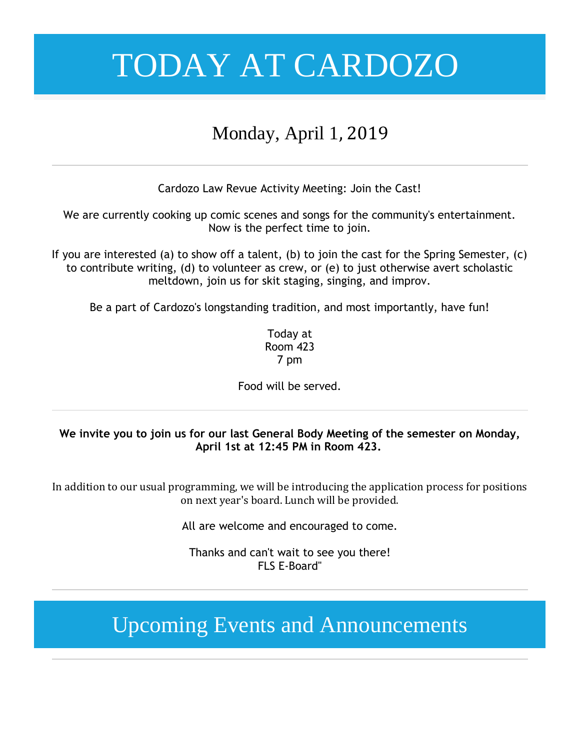### Monday, April 1, 2019

Cardozo Law Revue Activity Meeting: Join the Cast!

We are currently cooking up comic scenes and songs for the community's entertainment. Now is the perfect time to join.

If you are interested (a) to show off a talent, (b) to join the cast for the Spring Semester, (c) to contribute writing, (d) to volunteer as crew, or (e) to just otherwise avert scholastic meltdown, join us for skit staging, singing, and improv.

Be a part of Cardozo's longstanding tradition, and most importantly, have fun!

Today at Room 423 7 pm

Food will be served.

### **We invite you to join us for our last General Body Meeting of the semester on Monday, April 1st at 12:45 PM in Room 423.**

In addition to our usual programming, we will be introducing the application process for positions on next year's board. Lunch will be provided.

All are welcome and encouraged to come.

Thanks and can't wait to see you there! FLS E-Board"

## Upcoming Events and Announcements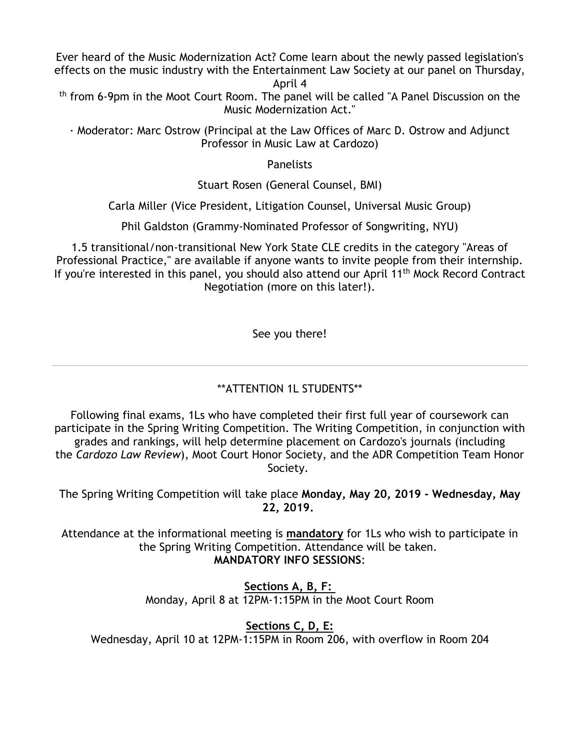Ever heard of the Music Modernization Act? Come learn about the newly passed legislation's effects on the music industry with the Entertainment Law Society at our panel on Thursday, April 4

th from 6-9pm in the Moot Court Room. The panel will be called "A Panel Discussion on the Music Modernization Act."

· Moderator: Marc Ostrow (Principal at the Law Offices of Marc D. Ostrow and Adjunct Professor in Music Law at Cardozo)

**Panelists** 

Stuart Rosen (General Counsel, BMI)

Carla Miller (Vice President, Litigation Counsel, Universal Music Group)

Phil Galdston (Grammy-Nominated Professor of Songwriting, NYU)

1.5 transitional/non-transitional New York State CLE credits in the category "Areas of Professional Practice," are available if anyone wants to invite people from their internship. If you're interested in this panel, you should also attend our April 11<sup>th</sup> Mock Record Contract Negotiation (more on this later!).

See you there!

### \*\*ATTENTION 1L STUDENTS\*\*

Following final exams, 1Ls who have completed their first full year of coursework can participate in the Spring Writing Competition. The Writing Competition, in conjunction with grades and rankings, will help determine placement on Cardozo's journals (including the *Cardozo Law Review*), Moot Court Honor Society, and the ADR Competition Team Honor Society.

The Spring Writing Competition will take place **Monday, May 20, 2019 - Wednesday, May 22, 2019.**

Attendance at the informational meeting is **mandatory** for 1Ls who wish to participate in the Spring Writing Competition. Attendance will be taken. **MANDATORY INFO SESSIONS**:

> **Sections A, B, F:** Monday, April 8 at 12PM-1:15PM in the Moot Court Room

> > **Sections C, D, E:**

Wednesday, April 10 at 12PM-1:15PM in Room 206, with overflow in Room 204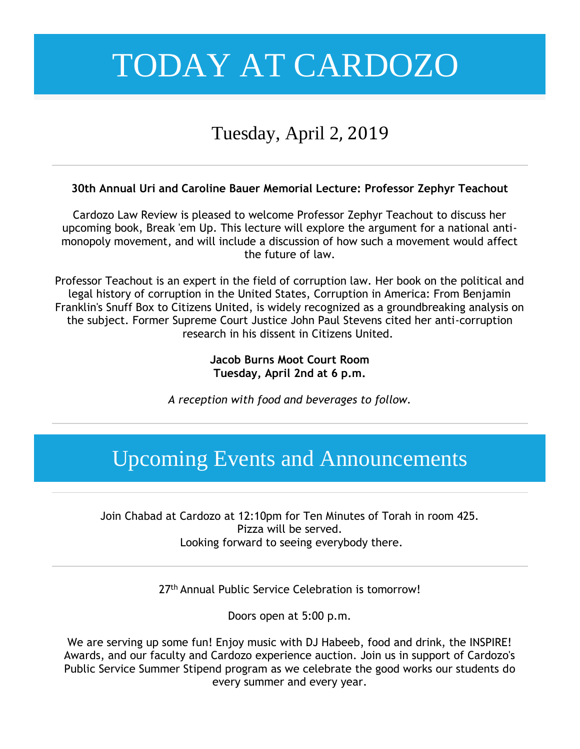## Tuesday, April 2, 2019

### **30th Annual Uri and Caroline Bauer Memorial Lecture: Professor Zephyr Teachout**

Cardozo Law Review is pleased to welcome Professor Zephyr Teachout to discuss her upcoming book, Break 'em Up. This lecture will explore the argument for a national antimonopoly movement, and will include a discussion of how such a movement would affect the future of law.

Professor Teachout is an expert in the field of corruption law. Her book on the political and legal history of corruption in the United States, Corruption in America: From Benjamin Franklin's Snuff Box to Citizens United, is widely recognized as a groundbreaking analysis on the subject. Former Supreme Court Justice John Paul Stevens cited her anti-corruption research in his dissent in Citizens United.

### **Jacob Burns Moot Court Room Tuesday, April 2nd at 6 p.m.**

*A reception with food and beverages to follow.*

## Upcoming Events and Announcements

Join Chabad at Cardozo at 12:10pm for Ten Minutes of Torah in room 425. Pizza will be served. Looking forward to seeing everybody there.

27<sup>th</sup> Annual Public Service Celebration is tomorrow!

Doors open at 5:00 p.m.

We are serving up some fun! Enjoy music with DJ Habeeb, food and drink, the INSPIRE! Awards, and our faculty and Cardozo experience auction. Join us in support of Cardozo's Public Service Summer Stipend program as we celebrate the good works our students do every summer and every year.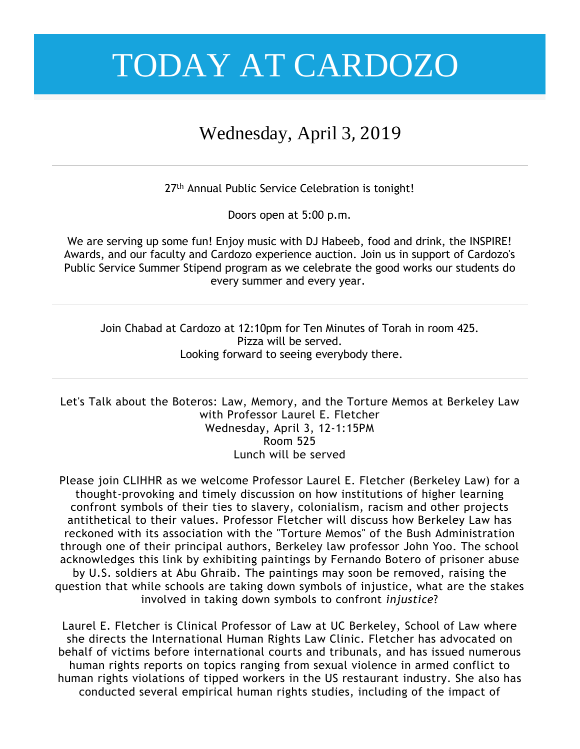### Wednesday, April 3, 2019

27<sup>th</sup> Annual Public Service Celebration is tonight!

Doors open at 5:00 p.m.

We are serving up some fun! Enjoy music with DJ Habeeb, food and drink, the INSPIRE! Awards, and our faculty and Cardozo experience auction. Join us in support of Cardozo's Public Service Summer Stipend program as we celebrate the good works our students do every summer and every year.

Join Chabad at Cardozo at 12:10pm for Ten Minutes of Torah in room 425. Pizza will be served. Looking forward to seeing everybody there.

Let's Talk about the Boteros: Law, Memory, and the Torture Memos at Berkeley Law with Professor Laurel E. Fletcher Wednesday, April 3, 12-1:15PM Room 525 Lunch will be served

Please join CLIHHR as we welcome Professor Laurel E. Fletcher (Berkeley Law) for a thought-provoking and timely discussion on how institutions of higher learning confront symbols of their ties to slavery, colonialism, racism and other projects antithetical to their values. Professor Fletcher will discuss how Berkeley Law has reckoned with its association with the "Torture Memos" of the Bush Administration through one of their principal authors, Berkeley law professor John Yoo. The school acknowledges this link by exhibiting paintings by Fernando Botero of prisoner abuse by U.S. soldiers at Abu Ghraib. The paintings may soon be removed, raising the question that while schools are taking down symbols of injustice, what are the stakes involved in taking down symbols to confront *injustice*?

Laurel E. Fletcher is Clinical Professor of Law at UC Berkeley, School of Law where she directs the International Human Rights Law Clinic. Fletcher has advocated on behalf of victims before international courts and tribunals, and has issued numerous human rights reports on topics ranging from sexual violence in armed conflict to human rights violations of tipped workers in the US restaurant industry. She also has conducted several empirical human rights studies, including of the impact of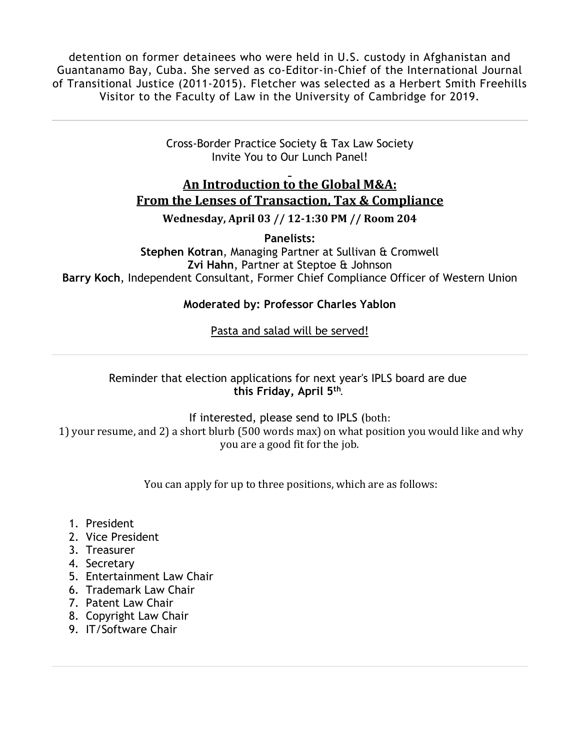detention on former detainees who were held in U.S. custody in Afghanistan and Guantanamo Bay, Cuba. She served as co-Editor-in-Chief of the International Journal of Transitional Justice (2011-2015). Fletcher was selected as a Herbert Smith Freehills Visitor to the Faculty of Law in the University of Cambridge for 2019.

> Cross-Border Practice Society & Tax Law Society Invite You to Our Lunch Panel!

### **An Introduction to the Global M&A: From the Lenses of Transaction, Tax & Compliance**

**Wednesday, April 03 // 12-1:30 PM // Room 204**

**Panelists: Stephen Kotran**, Managing Partner at Sullivan & Cromwell **Zvi Hahn**, Partner at Steptoe & Johnson **Barry Koch**, Independent Consultant, Former Chief Compliance Officer of Western Union

### **Moderated by: Professor Charles Yablon**

Pasta and salad will be served!

Reminder that election applications for next year's IPLS board are due **this Friday, April 5th** .

If interested, please send to IPLS (both: 1) your resume, and 2) a short blurb (500 words max) on what position you would like and why you are a good fit for the job.

You can apply for up to three positions, which are as follows:

- 1. President
- 2. Vice President
- 3. Treasurer
- 4. Secretary
- 5. Entertainment Law Chair
- 6. Trademark Law Chair
- 7. Patent Law Chair
- 8. Copyright Law Chair
- 9. IT/Software Chair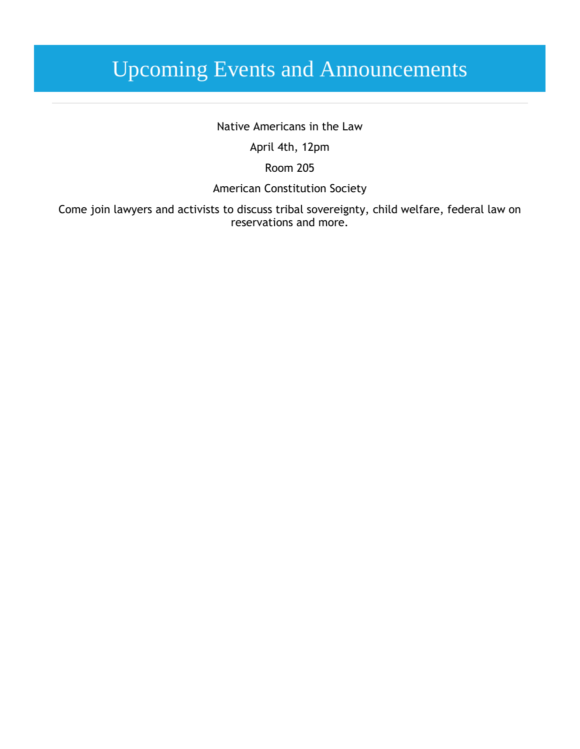## Upcoming Events and Announcements

Native Americans in the Law

April 4th, 12pm

Room 205

American Constitution Society

Come join lawyers and activists to discuss tribal sovereignty, child welfare, federal law on reservations and more.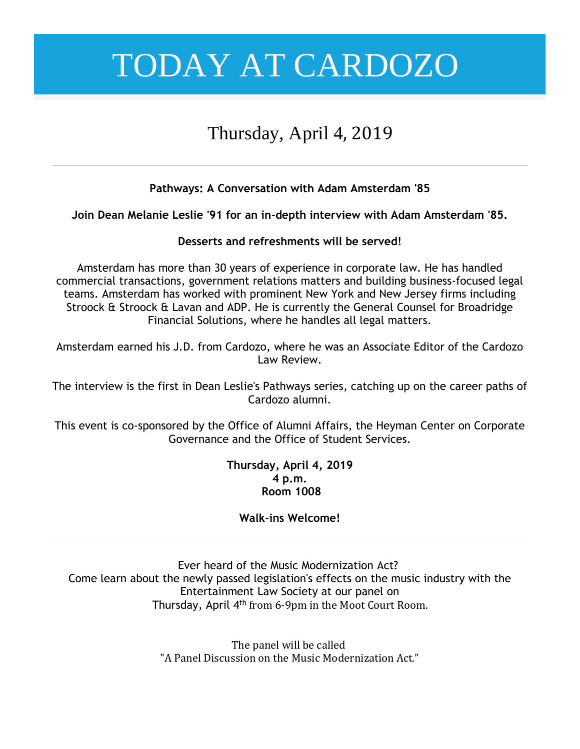### Thursday, April 4, 2019

### **Pathways: A Conversation with Adam Amsterdam '85**

**Join Dean Melanie Leslie '91 for an in-depth interview with Adam Amsterdam '85.**

### **Desserts and refreshments will be served!**

Amsterdam has more than 30 years of experience in corporate law. He has handled commercial transactions, government relations matters and building business-focused legal teams. Amsterdam has worked with prominent New York and New Jersey firms including Stroock & Stroock & Lavan and ADP. He is currently the General Counsel for Broadridge Financial Solutions, where he handles all legal matters.

Amsterdam earned his J.D. from Cardozo, where he was an Associate Editor of the Cardozo Law Review.

The interview is the first in Dean Leslie's Pathways series, catching up on the career paths of Cardozo alumni.

This event is co-sponsored by the Office of Alumni Affairs, the Heyman Center on Corporate Governance and the Office of Student Services.

> **Thursday, April 4, 2019 4 p.m. Room 1008**

### **Walk-ins Welcome!**

Ever heard of the Music Modernization Act? Come learn about the newly passed legislation's effects on the music industry with the Entertainment Law Society at our panel on Thursday, April 4<sup>th</sup> from 6-9pm in the Moot Court Room.

> The panel will be called "A Panel Discussion on the Music Modernization Act."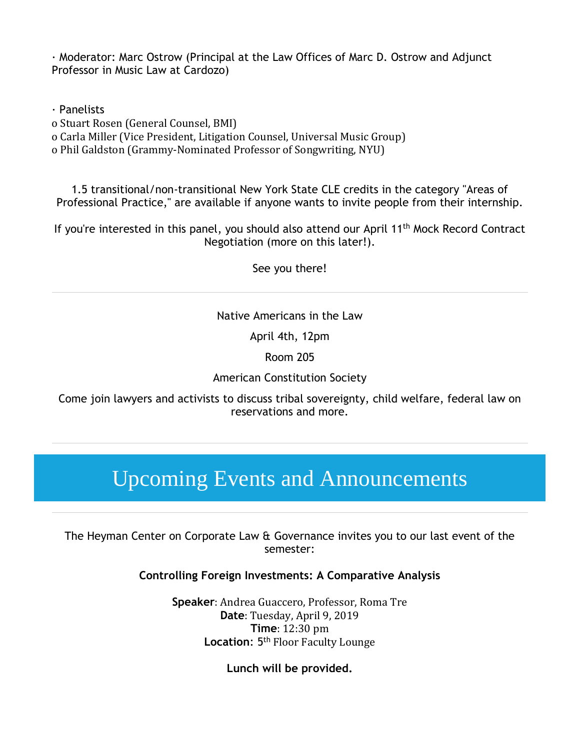· Moderator: Marc Ostrow (Principal at the Law Offices of Marc D. Ostrow and Adjunct Professor in Music Law at Cardozo)

· Panelists

o Stuart Rosen (General Counsel, BMI)

o Carla Miller (Vice President, Litigation Counsel, Universal Music Group)

o Phil Galdston (Grammy-Nominated Professor of Songwriting, NYU)

1.5 transitional/non-transitional New York State CLE credits in the category "Areas of Professional Practice," are available if anyone wants to invite people from their internship.

If you're interested in this panel, you should also attend our April 11<sup>th</sup> Mock Record Contract Negotiation (more on this later!).

See you there!

### Native Americans in the Law

April 4th, 12pm

Room 205

American Constitution Society

Come join lawyers and activists to discuss tribal sovereignty, child welfare, federal law on reservations and more.

## Upcoming Events and Announcements

The Heyman Center on Corporate Law & Governance invites you to our last event of the semester:

**Controlling Foreign Investments: A Comparative Analysis**

**Speaker**: Andrea Guaccero, Professor, Roma Tre **Date**: Tuesday, April 9, 2019 **Time**: 12:30 pm Location: 5<sup>th</sup> Floor Faculty Lounge

**Lunch will be provided.**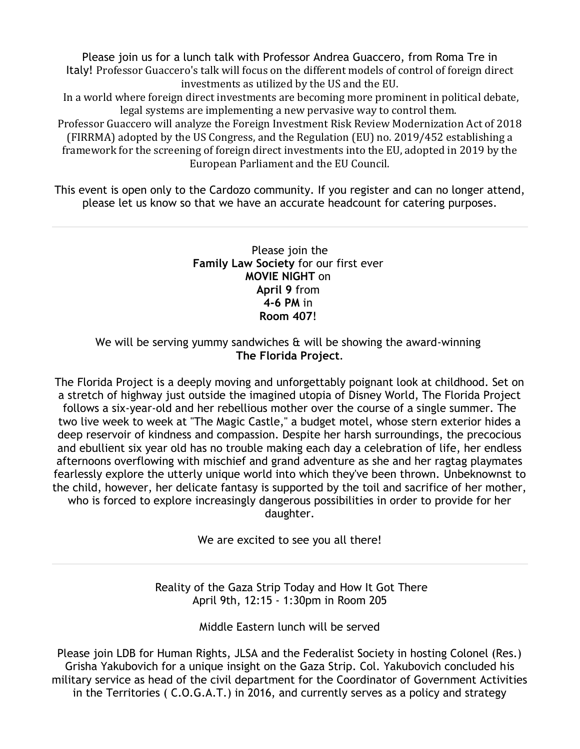Please join us for a lunch talk with Professor Andrea Guaccero, from Roma Tre in Italy! Professor Guaccero's talk will focus on the different models of control of foreign direct investments as utilized by the US and the EU.

In a world where foreign direct investments are becoming more prominent in political debate, legal systems are implementing a new pervasive way to control them.

Professor Guaccero will analyze the Foreign Investment Risk Review Modernization Act of 2018 (FIRRMA) adopted by the US Congress, and the Regulation (EU) no. 2019/452 establishing a framework for the screening of foreign direct investments into the EU, adopted in 2019 by the European Parliament and the EU Council.

This event is open only to the Cardozo community. If you register and can no longer attend, please let us know so that we have an accurate headcount for catering purposes.

#### Please join the **Family Law Society** for our first ever **MOVIE NIGHT** on **April 9** from **4-6 PM** in **Room 407**!

#### We will be serving yummy sandwiches  $\alpha$  will be showing the award-winning **The Florida Project**.

The Florida Project is a deeply moving and unforgettably poignant look at childhood. Set on a stretch of highway just outside the imagined utopia of Disney World, The Florida Project follows a six-year-old and her rebellious mother over the course of a single summer. The two live week to week at "The Magic Castle," a budget motel, whose stern exterior hides a deep reservoir of kindness and compassion. Despite her harsh surroundings, the precocious and ebullient six year old has no trouble making each day a celebration of life, her endless afternoons overflowing with mischief and grand adventure as she and her ragtag playmates fearlessly explore the utterly unique world into which they've been thrown. Unbeknownst to the child, however, her delicate fantasy is supported by the toil and sacrifice of her mother, who is forced to explore increasingly dangerous possibilities in order to provide for her daughter.

We are excited to see you all there!

Reality of the Gaza Strip Today and How It Got There April 9th, 12:15 - 1:30pm in Room 205

Middle Eastern lunch will be served

Please join LDB for Human Rights, JLSA and the Federalist Society in hosting Colonel (Res.) Grisha Yakubovich for a unique insight on the Gaza Strip. Col. Yakubovich concluded his military service as head of the civil department for the Coordinator of Government Activities in the Territories ( C.O.G.A.T.) in 2016, and currently serves as a policy and strategy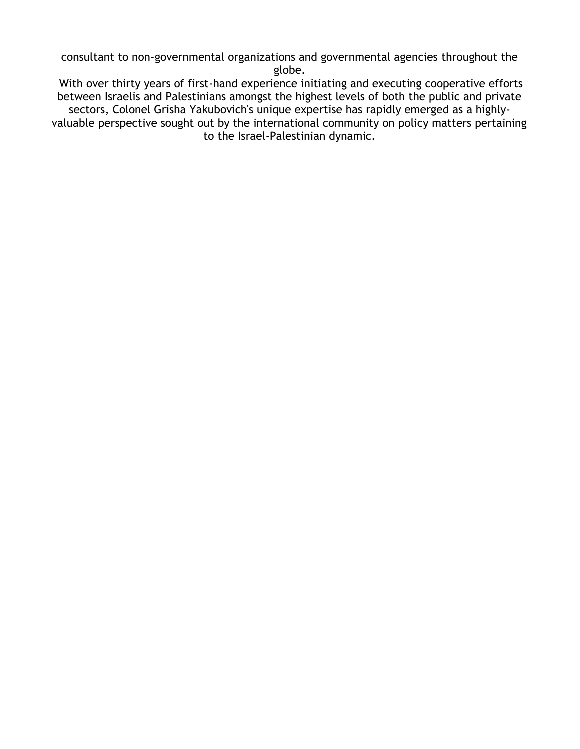consultant to non-governmental organizations and governmental agencies throughout the globe.

With over thirty years of first-hand experience initiating and executing cooperative efforts between Israelis and Palestinians amongst the highest levels of both the public and private sectors, Colonel Grisha Yakubovich's unique expertise has rapidly emerged as a highlyvaluable perspective sought out by the international community on policy matters pertaining to the Israel-Palestinian dynamic.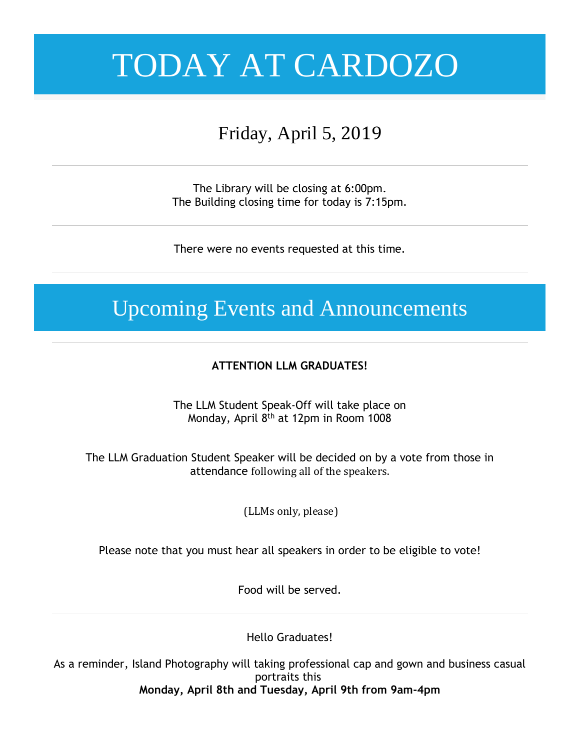## Friday, April 5, 2019

The Library will be closing at 6:00pm. The Building closing time for today is 7:15pm.

There were no events requested at this time.

## Upcoming Events and Announcements

### **ATTENTION LLM GRADUATES!**

The LLM Student Speak-Off will take place on Monday, April 8<sup>th</sup> at 12pm in Room 1008

The LLM Graduation Student Speaker will be decided on by a vote from those in attendance following all of the speakers.

(LLMs only, please)

### Please note that you must hear all speakers in order to be eligible to vote!

Food will be served.

Hello Graduates!

As a reminder, Island Photography will taking professional cap and gown and business casual portraits this **Monday, April 8th and Tuesday, April 9th from 9am-4pm**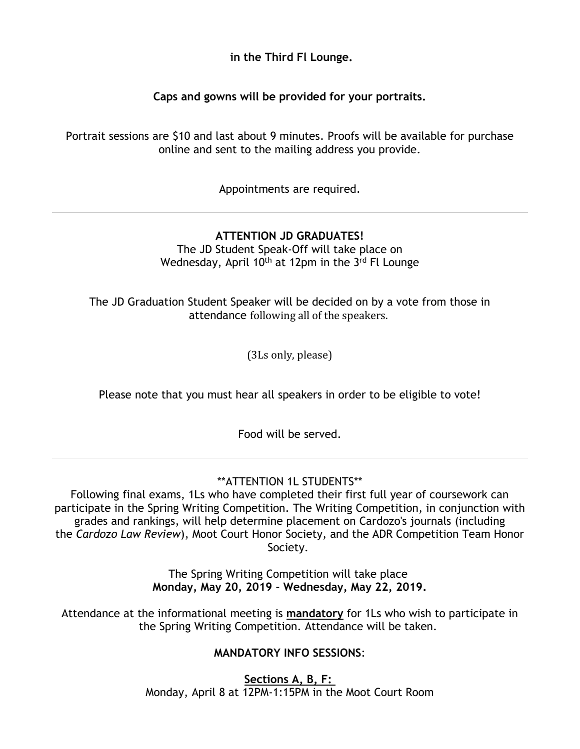**in the Third Fl Lounge.**

**Caps and gowns will be provided for your portraits.**

Portrait sessions are \$10 and last about 9 minutes. Proofs will be available for purchase online and sent to the mailing address you provide.

Appointments are required.

### **ATTENTION JD GRADUATES!**

The JD Student Speak-Off will take place on Wednesday, April 10<sup>th</sup> at 12pm in the 3<sup>rd</sup> Fl Lounge

The JD Graduation Student Speaker will be decided on by a vote from those in attendance following all of the speakers.

(3Ls only, please)

Please note that you must hear all speakers in order to be eligible to vote!

Food will be served.

### \*\*ATTENTION 1L STUDENTS\*\*

Following final exams, 1Ls who have completed their first full year of coursework can participate in the Spring Writing Competition. The Writing Competition, in conjunction with grades and rankings, will help determine placement on Cardozo's journals (including the *Cardozo Law Review*), Moot Court Honor Society, and the ADR Competition Team Honor Society.

> The Spring Writing Competition will take place **Monday, May 20, 2019 - Wednesday, May 22, 2019.**

Attendance at the informational meeting is **mandatory** for 1Ls who wish to participate in the Spring Writing Competition. Attendance will be taken.

### **MANDATORY INFO SESSIONS**:

**Sections A, B, F:** Monday, April 8 at 12PM-1:15PM in the Moot Court Room